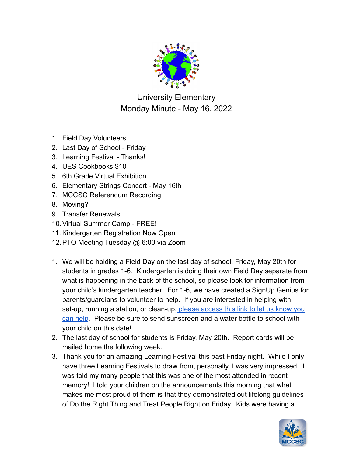

University Elementary Monday Minute - May 16, 2022

- 1. Field Day Volunteers
- 2. Last Day of School Friday
- 3. Learning Festival Thanks!
- 4. UES Cookbooks \$10
- 5. 6th Grade Virtual Exhibition
- 6. Elementary Strings Concert May 16th
- 7. MCCSC Referendum Recording
- 8. Moving?
- 9. Transfer Renewals
- 10.Virtual Summer Camp FREE!
- 11. Kindergarten Registration Now Open
- 12.PTO Meeting Tuesday @ 6:00 via Zoom
- 1. We will be holding a Field Day on the last day of school, Friday, May 20th for students in grades 1-6. Kindergarten is doing their own Field Day separate from what is happening in the back of the school, so please look for information from your child's kindergarten teacher. For 1-6, we have created a SignUp Genius for parents/guardians to volunteer to help. If you are interested in helping with set-up, running a station, or clean-up, please access [this link to let us know you](https://www.signupgenius.com/go/70A0848AAA929AAF58-university) [can help](https://www.signupgenius.com/go/70A0848AAA929AAF58-university). Please be sure to send sunscreen and a water bottle to school with your child on this date!
- 2. The last day of school for students is Friday, May 20th. Report cards will be mailed home the following week.
- 3. Thank you for an amazing Learning Festival this past Friday night. While I only have three Learning Festivals to draw from, personally, I was very impressed. I was told my many people that this was one of the most attended in recent memory! I told your children on the announcements this morning that what makes me most proud of them is that they demonstrated out lifelong guidelines of Do the Right Thing and Treat People Right on Friday. Kids were having a

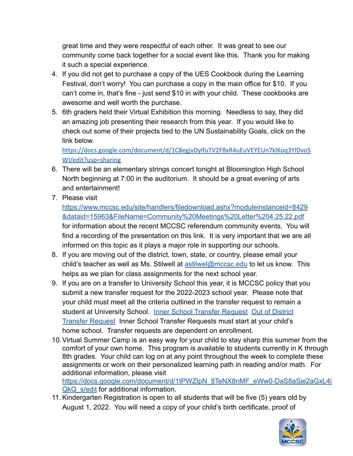great time and they were respectful of each other. It was great to see our community come back together for a social event like this. Thank you for making it such a special experience.

- 4. If you did not get to purchase a copy of the UES Cookbook during the Learning Festival, don't worry! You can purchase a copy in the main office for \$10. If you can't come in, that's fine - just send \$10 in with your child. These cookbooks are awesome and well worth the purchase.
- 5. 6th graders held their Virtual Exhibition this morning. Needless to say, they did an amazing job presenting their research from this year. If you would like to check out some of their projects tied to the UN Sustainability Goals, click on the link below.

[https://docs.google.com/document/d/1C8egjvDylfuTV2F8xR4uEuVEYEUn7klKoq3YlDvo5](https://docs.google.com/document/d/1C8egjvDylfuTV2F8xR4uEuVEYEUn7klKoq3YlDvo5WI/edit?usp=sharing) [WI/edit?usp=sharing](https://docs.google.com/document/d/1C8egjvDylfuTV2F8xR4uEuVEYEUn7klKoq3YlDvo5WI/edit?usp=sharing)

- 6. There will be an elementary strings concert tonight at Bloomington High School North beginning at 7:00 in the auditorium. It should be a great evening of arts and entertainment!
- 7. Please visit

[https://www.mccsc.edu/site/handlers/filedownload.ashx?moduleinstanceid=8429](https://www.mccsc.edu/site/handlers/filedownload.ashx?moduleinstanceid=8429&dataid=15963&FileName=Community%20Meetings%20Letter%204.25.22.pdf) [&dataid=15963&FileName=Community%20Meetings%20Letter%204.25.22.pdf](https://www.mccsc.edu/site/handlers/filedownload.ashx?moduleinstanceid=8429&dataid=15963&FileName=Community%20Meetings%20Letter%204.25.22.pdf) for information about the recent MCCSC referendum community events. You will find a recording of the presentation on this link. It is very important that we are all informed on this topic as it plays a major role in supporting our schools.

- 8. If you are moving out of the district, town, state, or country, please email your child's teacher as well as Ms. Stilwell at [astilwel@mccsc.edu](mailto:astilwel@mccsc.edu) to let us know. This helps as we plan for class assignments for the next school year.
- 9. If you are on a transfer to University School this year, it is MCCSC policy that you submit a new transfer request for the 2022-2023 school year. Please note that your child must meet all the criteria outlined in the transfer request to remain a student at University School. [Inner School Transfer](https://www.mccsc.edu/cms/lib/IN01906545/Centricity/Domain/1243/Student%20TRANSFER.pdf) Request [Out of District](https://www.mccsc.edu/cms/lib/IN01906545/Centricity/Domain/1243/Out%20of%20District%20Student%20TRANSFER.pdf) [Transfer Request](https://www.mccsc.edu/cms/lib/IN01906545/Centricity/Domain/1243/Out%20of%20District%20Student%20TRANSFER.pdf) Inner School Transfer Requests must start at your child's home school. Transfer requests are dependent on enrollment.
- 10.Virtual Summer Camp is an easy way for your child to stay sharp this summer from the comfort of your own home. This program is available to students currently in K through 8th grades. Your child can log on at any point throughout the week to complete these assignments or work on their personalized learning path in reading and/or math. For additional information, please visit [https://docs.google.com/document/d/1tPWZIpN\\_8TeNX8nMF\\_eWw0-DaS8aSje2aGxL4i](https://docs.google.com/document/d/1tPWZIpN_8TeNX8nMF_eWw0-DaS8aSje2aGxL4iQkQ_s/edit) [QkQ\\_s/edit](https://docs.google.com/document/d/1tPWZIpN_8TeNX8nMF_eWw0-DaS8aSje2aGxL4iQkQ_s/edit) for additional information.
- 11. Kindergarten Registration is open to all students that will be five (5) years old by August 1, 2022. You will need a copy of your child's birth certificate, proof of